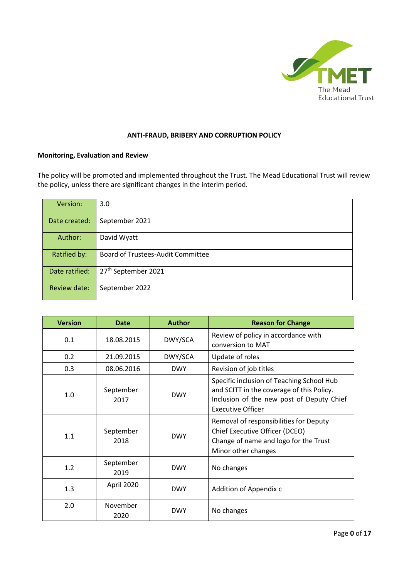

#### **ANTI-FRAUD, BRIBERY AND CORRUPTION POLICY**

### **Monitoring, Evaluation and Review**

The policy will be promoted and implemented throughout the Trust. The Mead Educational Trust will review the policy, unless there are significant changes in the interim period.

| Version:       | 3.0                                      |
|----------------|------------------------------------------|
| Date created:  | September 2021                           |
| Author:        | David Wyatt                              |
| Ratified by:   | <b>Board of Trustees-Audit Committee</b> |
| Date ratified: | 27 <sup>th</sup> September 2021          |
| Review date:   | September 2022                           |

| <b>Version</b> | Date              | <b>Author</b> | <b>Reason for Change</b>                                                                                                                                        |
|----------------|-------------------|---------------|-----------------------------------------------------------------------------------------------------------------------------------------------------------------|
| 0.1            | 18.08.2015        | DWY/SCA       | Review of policy in accordance with<br>conversion to MAT                                                                                                        |
| 0.2            | 21.09.2015        | DWY/SCA       | Update of roles                                                                                                                                                 |
| 0.3            | 08.06.2016        | <b>DWY</b>    | Revision of job titles                                                                                                                                          |
| 1.0            | September<br>2017 | <b>DWY</b>    | Specific inclusion of Teaching School Hub<br>and SCITT in the coverage of this Policy.<br>Inclusion of the new post of Deputy Chief<br><b>Executive Officer</b> |
| 1.1            | September<br>2018 | <b>DWY</b>    | Removal of responsibilities for Deputy<br>Chief Executive Officer (DCEO)<br>Change of name and logo for the Trust<br>Minor other changes                        |
| 1.2            | September<br>2019 | <b>DWY</b>    | No changes                                                                                                                                                      |
| 1.3            | April 2020        | <b>DWY</b>    | Addition of Appendix c                                                                                                                                          |
| 2.0            | November<br>2020  | <b>DWY</b>    | No changes                                                                                                                                                      |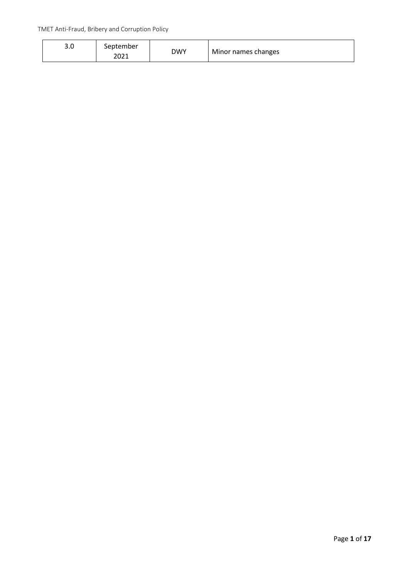| <u>ີ</u><br>J.U | September<br>2021 | DWY | Minor names changes |
|-----------------|-------------------|-----|---------------------|
|                 |                   |     |                     |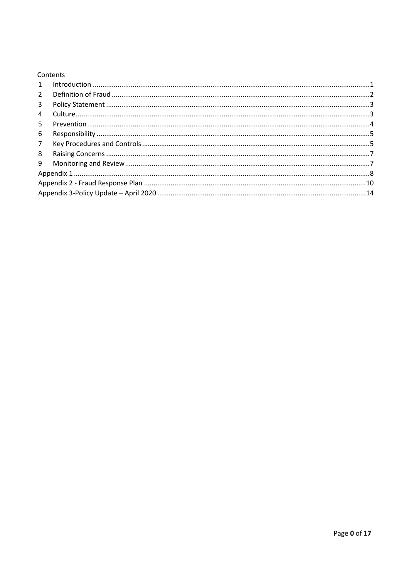| Contents |  |
|----------|--|
|----------|--|

| $\mathbf{1}$   |  |  |
|----------------|--|--|
| $2^{\circ}$    |  |  |
| $\mathbf{3}$   |  |  |
| $\overline{4}$ |  |  |
| 5              |  |  |
| 6              |  |  |
| 7 <sup>7</sup> |  |  |
| 8              |  |  |
| 9              |  |  |
|                |  |  |
|                |  |  |
|                |  |  |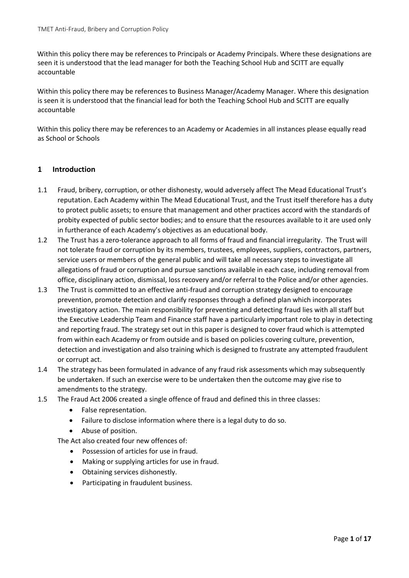Within this policy there may be references to Principals or Academy Principals. Where these designations are seen it is understood that the lead manager for both the Teaching School Hub and SCITT are equally accountable

Within this policy there may be references to Business Manager/Academy Manager. Where this designation is seen it is understood that the financial lead for both the Teaching School Hub and SCITT are equally accountable

Within this policy there may be references to an Academy or Academies in all instances please equally read as School or Schools

### <span id="page-3-0"></span>**1 Introduction**

- 1.1 Fraud, bribery, corruption, or other dishonesty, would adversely affect The Mead Educational Trust's reputation. Each Academy within The Mead Educational Trust, and the Trust itself therefore has a duty to protect public assets; to ensure that management and other practices accord with the standards of probity expected of public sector bodies; and to ensure that the resources available to it are used only in furtherance of each Academy's objectives as an educational body.
- 1.2 The Trust has a zero-tolerance approach to all forms of fraud and financial irregularity. The Trust will not tolerate fraud or corruption by its members, trustees, employees, suppliers, contractors, partners, service users or members of the general public and will take all necessary steps to investigate all allegations of fraud or corruption and pursue sanctions available in each case, including removal from office, disciplinary action, dismissal, loss recovery and/or referral to the Police and/or other agencies.
- 1.3 The Trust is committed to an effective anti-fraud and corruption strategy designed to encourage prevention, promote detection and clarify responses through a defined plan which incorporates investigatory action. The main responsibility for preventing and detecting fraud lies with all staff but the Executive Leadership Team and Finance staff have a particularly important role to play in detecting and reporting fraud. The strategy set out in this paper is designed to cover fraud which is attempted from within each Academy or from outside and is based on policies covering culture, prevention, detection and investigation and also training which is designed to frustrate any attempted fraudulent or corrupt act.
- 1.4 The strategy has been formulated in advance of any fraud risk assessments which may subsequently be undertaken. If such an exercise were to be undertaken then the outcome may give rise to amendments to the strategy.
- 1.5 The Fraud Act 2006 created a single offence of fraud and defined this in three classes:
	- False representation.
	- Failure to disclose information where there is a legal duty to do so.
	- Abuse of position.

The Act also created four new offences of:

- Possession of articles for use in fraud.
- Making or supplying articles for use in fraud.
- Obtaining services dishonestly.
- Participating in fraudulent business.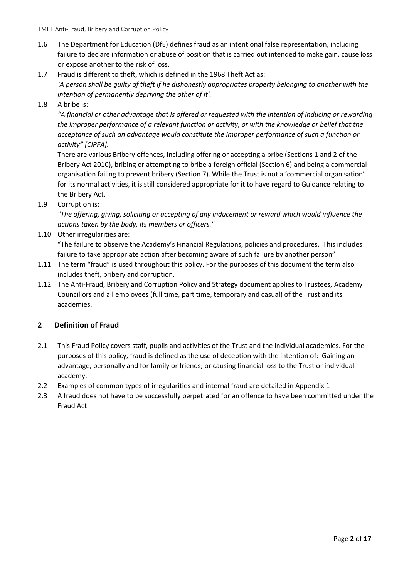- 1.6 The Department for Education (DfE) defines fraud as an intentional false representation, including failure to declare information or abuse of position that is carried out intended to make gain, cause loss or expose another to the risk of loss.
- 1.7 Fraud is different to theft, which is defined in the 1968 Theft Act as: *`A person shall be guilty of theft if he dishonestly appropriates property belonging to another with the intention of permanently depriving the other of it'.*
- 1.8 A bribe is:

*"A financial or other advantage that is offered or requested with the intention of inducing or rewarding the improper performance of a relevant function or activity, or with the knowledge or belief that the acceptance of such an advantage would constitute the improper performance of such a function or activity" [CIPFA].* 

There are various Bribery offences, including offering or accepting a bribe (Sections 1 and 2 of the Bribery Act 2010), bribing or attempting to bribe a foreign official (Section 6) and being a commercial organisation failing to prevent bribery (Section 7). While the Trust is not a 'commercial organisation' for its normal activities, it is still considered appropriate for it to have regard to Guidance relating to the Bribery Act.

1.9 Corruption is:

*"The offering, giving, soliciting or accepting of any inducement or reward which would influence the actions taken by the body, its members or officers."* 

1.10 Other irregularities are:

"The failure to observe the Academy's Financial Regulations, policies and procedures. This includes failure to take appropriate action after becoming aware of such failure by another person"

- 1.11 The term "fraud" is used throughout this policy. For the purposes of this document the term also includes theft, bribery and corruption.
- 1.12 The Anti-Fraud, Bribery and Corruption Policy and Strategy document applies to Trustees, Academy Councillors and all employees (full time, part time, temporary and casual) of the Trust and its academies.

# <span id="page-4-0"></span>**2 Definition of Fraud**

- 2.1 This Fraud Policy covers staff, pupils and activities of the Trust and the individual academies. For the purposes of this policy, fraud is defined as the use of deception with the intention of: Gaining an advantage, personally and for family or friends; or causing financial loss to the Trust or individual academy.
- 2.2 Examples of common types of irregularities and internal fraud are detailed in Appendix 1
- 2.3 A fraud does not have to be successfully perpetrated for an offence to have been committed under the Fraud Act.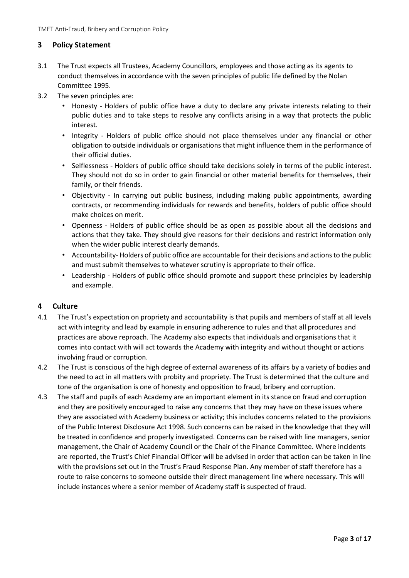# <span id="page-5-0"></span>**3 Policy Statement**

- 3.1 The Trust expects all Trustees, Academy Councillors, employees and those acting as its agents to conduct themselves in accordance with the seven principles of public life defined by the Nolan Committee 1995.
- 3.2 The seven principles are:
	- Honesty Holders of public office have a duty to declare any private interests relating to their public duties and to take steps to resolve any conflicts arising in a way that protects the public interest.
	- Integrity Holders of public office should not place themselves under any financial or other obligation to outside individuals or organisations that might influence them in the performance of their official duties.
	- Selflessness Holders of public office should take decisions solely in terms of the public interest. They should not do so in order to gain financial or other material benefits for themselves, their family, or their friends.
	- Objectivity In carrying out public business, including making public appointments, awarding contracts, or recommending individuals for rewards and benefits, holders of public office should make choices on merit.
	- Openness Holders of public office should be as open as possible about all the decisions and actions that they take. They should give reasons for their decisions and restrict information only when the wider public interest clearly demands.
	- Accountability- Holders of public office are accountable for their decisions and actions to the public and must submit themselves to whatever scrutiny is appropriate to their office.
	- Leadership Holders of public office should promote and support these principles by leadership and example.

### <span id="page-5-1"></span>**4 Culture**

- 4.1 The Trust's expectation on propriety and accountability is that pupils and members of staff at all levels act with integrity and lead by example in ensuring adherence to rules and that all procedures and practices are above reproach. The Academy also expects that individuals and organisations that it comes into contact with will act towards the Academy with integrity and without thought or actions involving fraud or corruption.
- 4.2 The Trust is conscious of the high degree of external awareness of its affairs by a variety of bodies and the need to act in all matters with probity and propriety. The Trust is determined that the culture and tone of the organisation is one of honesty and opposition to fraud, bribery and corruption.
- 4.3 The staff and pupils of each Academy are an important element in its stance on fraud and corruption and they are positively encouraged to raise any concerns that they may have on these issues where they are associated with Academy business or activity; this includes concerns related to the provisions of the Public Interest Disclosure Act 1998. Such concerns can be raised in the knowledge that they will be treated in confidence and properly investigated. Concerns can be raised with line managers, senior management, the Chair of Academy Council or the Chair of the Finance Committee. Where incidents are reported, the Trust's Chief Financial Officer will be advised in order that action can be taken in line with the provisions set out in the Trust's Fraud Response Plan. Any member of staff therefore has a route to raise concerns to someone outside their direct management line where necessary. This will include instances where a senior member of Academy staff is suspected of fraud.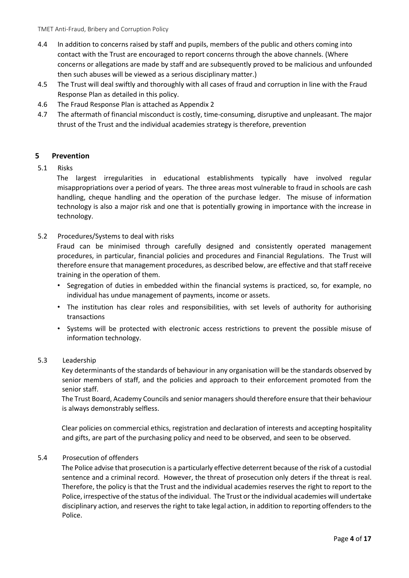- 4.4 In addition to concerns raised by staff and pupils, members of the public and others coming into contact with the Trust are encouraged to report concerns through the above channels. (Where concerns or allegations are made by staff and are subsequently proved to be malicious and unfounded then such abuses will be viewed as a serious disciplinary matter.)
- 4.5 The Trust will deal swiftly and thoroughly with all cases of fraud and corruption in line with the Fraud Response Plan as detailed in this policy.
- 4.6 The Fraud Response Plan is attached as Appendix 2
- 4.7 The aftermath of financial misconduct is costly, time-consuming, disruptive and unpleasant. The major thrust of the Trust and the individual academies strategy is therefore, prevention

### <span id="page-6-0"></span>**5 Prevention**

5.1 Risks

The largest irregularities in educational establishments typically have involved regular misappropriations over a period of years. The three areas most vulnerable to fraud in schools are cash handling, cheque handling and the operation of the purchase ledger. The misuse of information technology is also a major risk and one that is potentially growing in importance with the increase in technology.

5.2 Procedures/Systems to deal with risks

Fraud can be minimised through carefully designed and consistently operated management procedures, in particular, financial policies and procedures and Financial Regulations. The Trust will therefore ensure that management procedures, as described below, are effective and that staff receive training in the operation of them.

- Segregation of duties in embedded within the financial systems is practiced, so, for example, no individual has undue management of payments, income or assets.
- The institution has clear roles and responsibilities, with set levels of authority for authorising transactions
- Systems will be protected with electronic access restrictions to prevent the possible misuse of information technology.

#### 5.3 Leadership

Key determinants of the standards of behaviour in any organisation will be the standards observed by senior members of staff, and the policies and approach to their enforcement promoted from the senior staff.

The Trust Board, Academy Councils and senior managers should therefore ensure that their behaviour is always demonstrably selfless.

Clear policies on commercial ethics, registration and declaration of interests and accepting hospitality and gifts, are part of the purchasing policy and need to be observed, and seen to be observed.

#### 5.4 Prosecution of offenders

The Police advise that prosecution is a particularly effective deterrent because of the risk of a custodial sentence and a criminal record. However, the threat of prosecution only deters if the threat is real. Therefore, the policy is that the Trust and the individual academies reserves the right to report to the Police, irrespective of the status of the individual. The Trust or the individual academies will undertake disciplinary action, and reserves the right to take legal action, in addition to reporting offenders to the Police.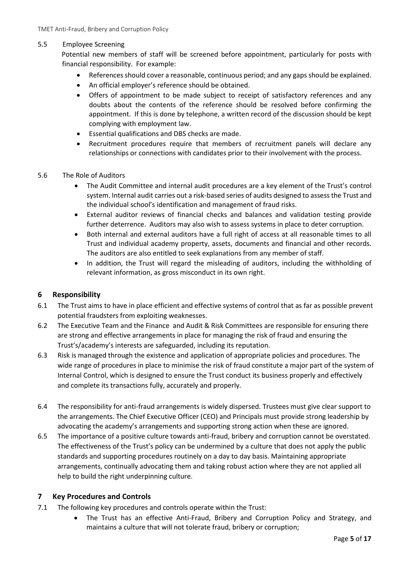### 5.5 Employee Screening

Potential new members of staff will be screened before appointment, particularly for posts with financial responsibility. For example:

- References should cover a reasonable, continuous period; and any gaps should be explained.
- An official employer's reference should be obtained.
- Offers of appointment to be made subject to receipt of satisfactory references and any doubts about the contents of the reference should be resolved before confirming the appointment. If this is done by telephone, a written record of the discussion should be kept complying with employment law.
- Essential qualifications and DBS checks are made.
- Recruitment procedures require that members of recruitment panels will declare any relationships or connections with candidates prior to their involvement with the process.

### 5.6 The Role of Auditors

- The Audit Committee and internal audit procedures are a key element of the Trust's control system. Internal audit carries out a risk-based series of audits designed to assess the Trust and the individual school's identification and management of fraud risks.
- External auditor reviews of financial checks and balances and validation testing provide further deterrence. Auditors may also wish to assess systems in place to deter corruption.
- Both internal and external auditors have a full right of access at all reasonable times to all Trust and individual academy property, assets, documents and financial and other records. The auditors are also entitled to seek explanations from any member of staff.
- In addition, the Trust will regard the misleading of auditors, including the withholding of relevant information, as gross misconduct in its own right.

### <span id="page-7-0"></span>**6 Responsibility**

- 6.1 The Trust aims to have in place efficient and effective systems of control that as far as possible prevent potential fraudsters from exploiting weaknesses.
- 6.2 The Executive Team and the Finance and Audit & Risk Committees are responsible for ensuring there are strong and effective arrangements in place for managing the risk of fraud and ensuring the Trust's/academy's interests are safeguarded, including its reputation.
- 6.3 Risk is managed through the existence and application of appropriate policies and procedures. The wide range of procedures in place to minimise the risk of fraud constitute a major part of the system of Internal Control, which is designed to ensure the Trust conduct its business properly and effectively and complete its transactions fully, accurately and properly.
- 6.4 The responsibility for anti-fraud arrangements is widely dispersed. Trustees must give clear support to the arrangements. The Chief Executive Officer (CEO) and Principals must provide strong leadership by advocating the academy's arrangements and supporting strong action when these are ignored.
- 6.5 The importance of a positive culture towards anti-fraud, bribery and corruption cannot be overstated. The effectiveness of the Trust's policy can be undermined by a culture that does not apply the public standards and supporting procedures routinely on a day to day basis. Maintaining appropriate arrangements, continually advocating them and taking robust action where they are not applied all help to build the right underpinning culture.

### <span id="page-7-1"></span>**7 Key Procedures and Controls**

- 7.1 The following key procedures and controls operate within the Trust:
	- The Trust has an effective Anti-Fraud, Bribery and Corruption Policy and Strategy, and maintains a culture that will not tolerate fraud, bribery or corruption;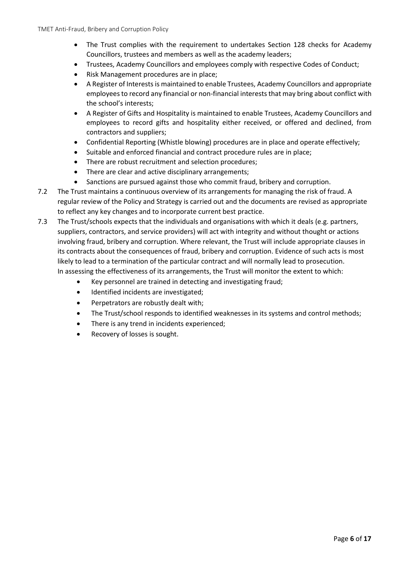- The Trust complies with the requirement to undertakes Section 128 checks for Academy Councillors, trustees and members as well as the academy leaders;
- Trustees, Academy Councillors and employees comply with respective Codes of Conduct;
- Risk Management procedures are in place;
- A Register of Interests is maintained to enable Trustees, Academy Councillors and appropriate employees to record any financial or non-financial interests that may bring about conflict with the school's interests;
- A Register of Gifts and Hospitality is maintained to enable Trustees, Academy Councillors and employees to record gifts and hospitality either received, or offered and declined, from contractors and suppliers;
- Confidential Reporting (Whistle blowing) procedures are in place and operate effectively;
- Suitable and enforced financial and contract procedure rules are in place;
- There are robust recruitment and selection procedures;
- There are clear and active disciplinary arrangements;
- Sanctions are pursued against those who commit fraud, bribery and corruption.
- 7.2 The Trust maintains a continuous overview of its arrangements for managing the risk of fraud. A regular review of the Policy and Strategy is carried out and the documents are revised as appropriate to reflect any key changes and to incorporate current best practice.
- 7.3 The Trust/schools expects that the individuals and organisations with which it deals (e.g. partners, suppliers, contractors, and service providers) will act with integrity and without thought or actions involving fraud, bribery and corruption. Where relevant, the Trust will include appropriate clauses in its contracts about the consequences of fraud, bribery and corruption. Evidence of such acts is most likely to lead to a termination of the particular contract and will normally lead to prosecution. In assessing the effectiveness of its arrangements, the Trust will monitor the extent to which:
	- Key personnel are trained in detecting and investigating fraud;
	- Identified incidents are investigated;
	- Perpetrators are robustly dealt with;
	- The Trust/school responds to identified weaknesses in its systems and control methods;
	- There is any trend in incidents experienced;
	- Recovery of losses is sought.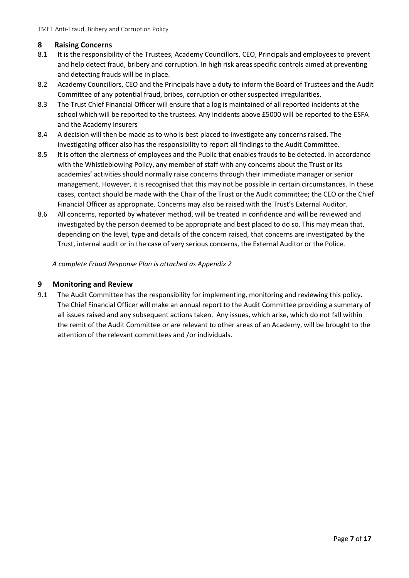### <span id="page-9-0"></span>**8 Raising Concerns**

- 8.1 It is the responsibility of the Trustees, Academy Councillors, CEO, Principals and employees to prevent and help detect fraud, bribery and corruption. In high risk areas specific controls aimed at preventing and detecting frauds will be in place.
- 8.2 Academy Councillors, CEO and the Principals have a duty to inform the Board of Trustees and the Audit Committee of any potential fraud, bribes, corruption or other suspected irregularities.
- 8.3 The Trust Chief Financial Officer will ensure that a log is maintained of all reported incidents at the school which will be reported to the trustees. Any incidents above £5000 will be reported to the ESFA and the Academy Insurers
- 8.4 A decision will then be made as to who is best placed to investigate any concerns raised. The investigating officer also has the responsibility to report all findings to the Audit Committee.
- 8.5 It is often the alertness of employees and the Public that enables frauds to be detected. In accordance with the Whistleblowing Policy, any member of staff with any concerns about the Trust or its academies' activities should normally raise concerns through their immediate manager or senior management. However, it is recognised that this may not be possible in certain circumstances. In these cases, contact should be made with the Chair of the Trust or the Audit committee; the CEO or the Chief Financial Officer as appropriate. Concerns may also be raised with the Trust's External Auditor.
- 8.6 All concerns, reported by whatever method, will be treated in confidence and will be reviewed and investigated by the person deemed to be appropriate and best placed to do so. This may mean that, depending on the level, type and details of the concern raised, that concerns are investigated by the Trust, internal audit or in the case of very serious concerns, the External Auditor or the Police.

*A complete Fraud Response Plan is attached as Appendix 2* 

### <span id="page-9-1"></span>**9 Monitoring and Review**

9.1 The Audit Committee has the responsibility for implementing, monitoring and reviewing this policy. The Chief Financial Officer will make an annual report to the Audit Committee providing a summary of all issues raised and any subsequent actions taken. Any issues, which arise, which do not fall within the remit of the Audit Committee or are relevant to other areas of an Academy, will be brought to the attention of the relevant committees and /or individuals.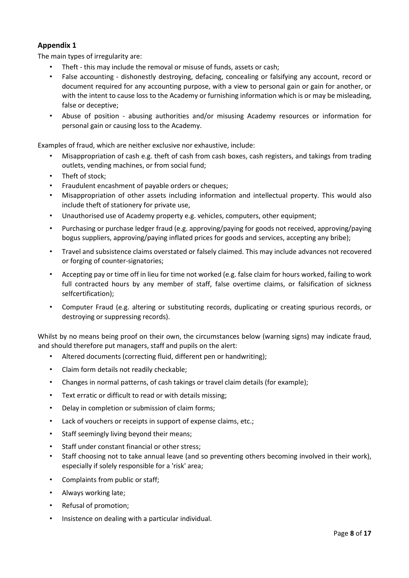# <span id="page-10-0"></span>**Appendix 1**

The main types of irregularity are:

- Theft this may include the removal or misuse of funds, assets or cash;
- False accounting dishonestly destroying, defacing, concealing or falsifying any account, record or document required for any accounting purpose, with a view to personal gain or gain for another, or with the intent to cause loss to the Academy or furnishing information which is or may be misleading, false or deceptive;
- Abuse of position abusing authorities and/or misusing Academy resources or information for personal gain or causing loss to the Academy.

Examples of fraud, which are neither exclusive nor exhaustive, include:

- Misappropriation of cash e.g. theft of cash from cash boxes, cash registers, and takings from trading outlets, vending machines, or from social fund;
- Theft of stock;
- Fraudulent encashment of payable orders or cheques;
- Misappropriation of other assets including information and intellectual property. This would also include theft of stationery for private use,
- Unauthorised use of Academy property e.g. vehicles, computers, other equipment;
- Purchasing or purchase ledger fraud (e.g. approving/paying for goods not received, approving/paying bogus suppliers, approving/paying inflated prices for goods and services, accepting any bribe);
- Travel and subsistence claims overstated or falsely claimed. This may include advances not recovered or forging of counter-signatories;
- Accepting pay or time off in lieu for time not worked (e.g. false claim for hours worked, failing to work full contracted hours by any member of staff, false overtime claims, or falsification of sickness selfcertification);
- Computer Fraud (e.g. altering or substituting records, duplicating or creating spurious records, or destroying or suppressing records).

Whilst by no means being proof on their own, the circumstances below (warning signs) may indicate fraud, and should therefore put managers, staff and pupils on the alert:

- Altered documents (correcting fluid, different pen or handwriting);
- Claim form details not readily checkable;
- Changes in normal patterns, of cash takings or travel claim details (for example);
- Text erratic or difficult to read or with details missing;
- Delay in completion or submission of claim forms;
- Lack of vouchers or receipts in support of expense claims, etc.;
- Staff seemingly living beyond their means;
- Staff under constant financial or other stress;
- Staff choosing not to take annual leave (and so preventing others becoming involved in their work), especially if solely responsible for a 'risk' area;
- Complaints from public or staff;
- Always working late;
- Refusal of promotion;
- Insistence on dealing with a particular individual.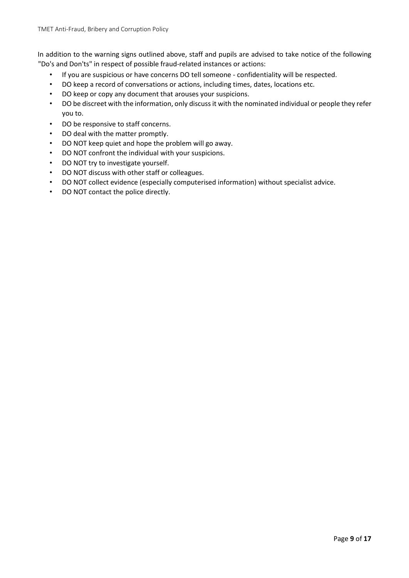In addition to the warning signs outlined above, staff and pupils are advised to take notice of the following "Do's and Don'ts" in respect of possible fraud-related instances or actions:

- If you are suspicious or have concerns DO tell someone confidentiality will be respected.
- DO keep a record of conversations or actions, including times, dates, locations etc.
- DO keep or copy any document that arouses your suspicions.
- DO be discreet with the information, only discuss it with the nominated individual or people they refer you to.
- DO be responsive to staff concerns.
- DO deal with the matter promptly.
- DO NOT keep quiet and hope the problem will go away.
- DO NOT confront the individual with your suspicions.
- DO NOT try to investigate yourself.
- DO NOT discuss with other staff or colleagues.
- DO NOT collect evidence (especially computerised information) without specialist advice.
- DO NOT contact the police directly.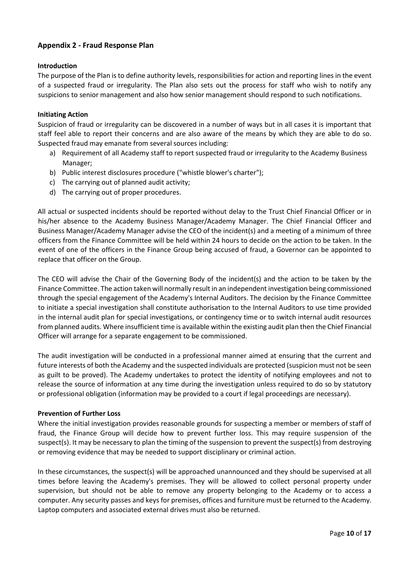## <span id="page-12-0"></span>**Appendix 2 - Fraud Response Plan**

#### **Introduction**

The purpose of the Plan is to define authority levels, responsibilities for action and reporting lines in the event of a suspected fraud or irregularity. The Plan also sets out the process for staff who wish to notify any suspicions to senior management and also how senior management should respond to such notifications.

#### **Initiating Action**

Suspicion of fraud or irregularity can be discovered in a number of ways but in all cases it is important that staff feel able to report their concerns and are also aware of the means by which they are able to do so. Suspected fraud may emanate from several sources including:

- a) Requirement of all Academy staff to report suspected fraud or irregularity to the Academy Business Manager;
- b) Public interest disclosures procedure ("whistle blower's charter");
- c) The carrying out of planned audit activity;
- d) The carrying out of proper procedures.

All actual or suspected incidents should be reported without delay to the Trust Chief Financial Officer or in his/her absence to the Academy Business Manager/Academy Manager. The Chief Financial Officer and Business Manager/Academy Manager advise the CEO of the incident(s) and a meeting of a minimum of three officers from the Finance Committee will be held within 24 hours to decide on the action to be taken. In the event of one of the officers in the Finance Group being accused of fraud, a Governor can be appointed to replace that officer on the Group.

The CEO will advise the Chair of the Governing Body of the incident(s) and the action to be taken by the Finance Committee. The action taken will normally result in an independent investigation being commissioned through the special engagement of the Academy's Internal Auditors. The decision by the Finance Committee to initiate a special investigation shall constitute authorisation to the Internal Auditors to use time provided in the internal audit plan for special investigations, or contingency time or to switch internal audit resources from planned audits. Where insufficient time is available within the existing audit plan then the Chief Financial Officer will arrange for a separate engagement to be commissioned.

The audit investigation will be conducted in a professional manner aimed at ensuring that the current and future interests of both the Academy and the suspected individuals are protected (suspicion must not be seen as guilt to be proved). The Academy undertakes to protect the identity of notifying employees and not to release the source of information at any time during the investigation unless required to do so by statutory or professional obligation (information may be provided to a court if legal proceedings are necessary).

#### **Prevention of Further Loss**

Where the initial investigation provides reasonable grounds for suspecting a member or members of staff of fraud, the Finance Group will decide how to prevent further loss. This may require suspension of the suspect(s). It may be necessary to plan the timing of the suspension to prevent the suspect(s) from destroying or removing evidence that may be needed to support disciplinary or criminal action.

In these circumstances, the suspect(s) will be approached unannounced and they should be supervised at all times before leaving the Academy's premises. They will be allowed to collect personal property under supervision, but should not be able to remove any property belonging to the Academy or to access a computer. Any security passes and keys for premises, offices and furniture must be returned to the Academy. Laptop computers and associated external drives must also be returned.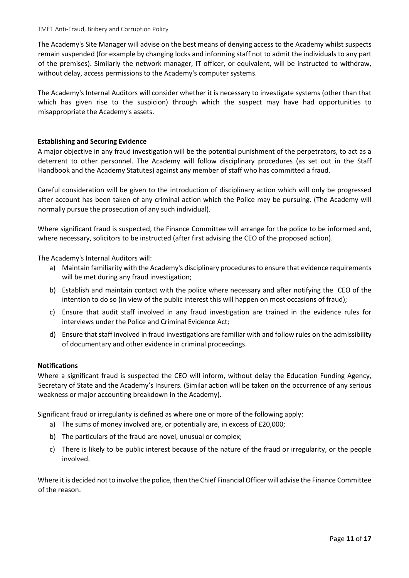The Academy's Site Manager will advise on the best means of denying access to the Academy whilst suspects remain suspended (for example by changing locks and informing staff not to admit the individuals to any part of the premises). Similarly the network manager, IT officer, or equivalent, will be instructed to withdraw, without delay, access permissions to the Academy's computer systems.

The Academy's Internal Auditors will consider whether it is necessary to investigate systems (other than that which has given rise to the suspicion) through which the suspect may have had opportunities to misappropriate the Academy's assets.

#### **Establishing and Securing Evidence**

A major objective in any fraud investigation will be the potential punishment of the perpetrators, to act as a deterrent to other personnel. The Academy will follow disciplinary procedures (as set out in the Staff Handbook and the Academy Statutes) against any member of staff who has committed a fraud.

Careful consideration will be given to the introduction of disciplinary action which will only be progressed after account has been taken of any criminal action which the Police may be pursuing. (The Academy will normally pursue the prosecution of any such individual).

Where significant fraud is suspected, the Finance Committee will arrange for the police to be informed and, where necessary, solicitors to be instructed (after first advising the CEO of the proposed action).

The Academy's Internal Auditors will:

- a) Maintain familiarity with the Academy's disciplinary procedures to ensure that evidence requirements will be met during any fraud investigation;
- b) Establish and maintain contact with the police where necessary and after notifying the CEO of the intention to do so (in view of the public interest this will happen on most occasions of fraud);
- c) Ensure that audit staff involved in any fraud investigation are trained in the evidence rules for interviews under the Police and Criminal Evidence Act;
- d) Ensure that staff involved in fraud investigations are familiar with and follow rules on the admissibility of documentary and other evidence in criminal proceedings.

#### **Notifications**

Where a significant fraud is suspected the CEO will inform, without delay the Education Funding Agency, Secretary of State and the Academy's Insurers. (Similar action will be taken on the occurrence of any serious weakness or major accounting breakdown in the Academy).

Significant fraud or irregularity is defined as where one or more of the following apply:

- a) The sums of money involved are, or potentially are, in excess of £20,000;
- b) The particulars of the fraud are novel, unusual or complex;
- c) There is likely to be public interest because of the nature of the fraud or irregularity, or the people involved.

Where it is decided not to involve the police, then the Chief Financial Officer will advise the Finance Committee of the reason.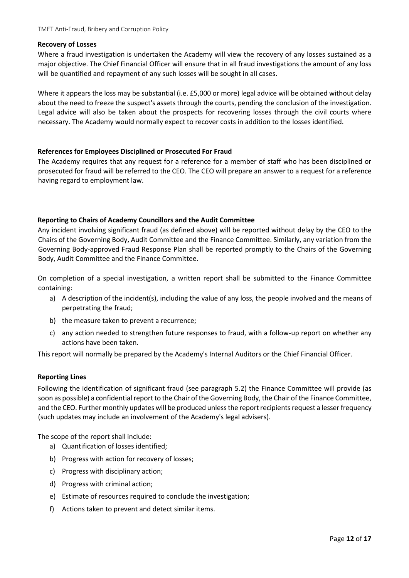#### **Recovery of Losses**

Where a fraud investigation is undertaken the Academy will view the recovery of any losses sustained as a major objective. The Chief Financial Officer will ensure that in all fraud investigations the amount of any loss will be quantified and repayment of any such losses will be sought in all cases.

Where it appears the loss may be substantial (i.e. £5,000 or more) legal advice will be obtained without delay about the need to freeze the suspect's assets through the courts, pending the conclusion of the investigation. Legal advice will also be taken about the prospects for recovering losses through the civil courts where necessary. The Academy would normally expect to recover costs in addition to the losses identified.

### **References for Employees Disciplined or Prosecuted For Fraud**

The Academy requires that any request for a reference for a member of staff who has been disciplined or prosecuted for fraud will be referred to the CEO. The CEO will prepare an answer to a request for a reference having regard to employment law.

### **Reporting to Chairs of Academy Councillors and the Audit Committee**

Any incident involving significant fraud (as defined above) will be reported without delay by the CEO to the Chairs of the Governing Body, Audit Committee and the Finance Committee. Similarly, any variation from the Governing Body-approved Fraud Response Plan shall be reported promptly to the Chairs of the Governing Body, Audit Committee and the Finance Committee.

On completion of a special investigation, a written report shall be submitted to the Finance Committee containing:

- a) A description of the incident(s), including the value of any loss, the people involved and the means of perpetrating the fraud;
- b) the measure taken to prevent a recurrence;
- c) any action needed to strengthen future responses to fraud, with a follow-up report on whether any actions have been taken.

This report will normally be prepared by the Academy's Internal Auditors or the Chief Financial Officer.

#### **Reporting Lines**

Following the identification of significant fraud (see paragraph 5.2) the Finance Committee will provide (as soon as possible) a confidential report to the Chair of the Governing Body, the Chair of the Finance Committee, and the CEO. Further monthly updates will be produced unless the report recipients request a lesser frequency (such updates may include an involvement of the Academy's legal advisers).

The scope of the report shall include:

- a) Quantification of losses identified;
- b) Progress with action for recovery of losses;
- c) Progress with disciplinary action;
- d) Progress with criminal action;
- e) Estimate of resources required to conclude the investigation;
- f) Actions taken to prevent and detect similar items.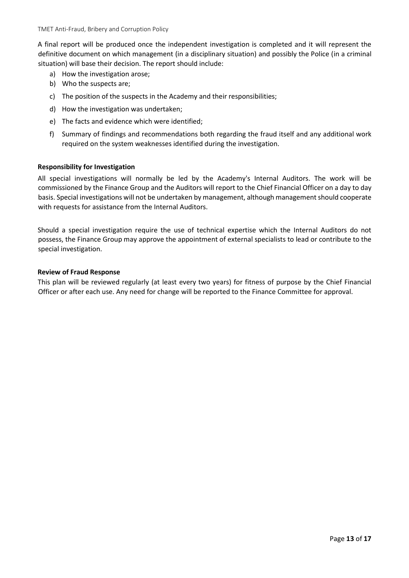TMET Anti-Fraud, Bribery and Corruption Policy

A final report will be produced once the independent investigation is completed and it will represent the definitive document on which management (in a disciplinary situation) and possibly the Police (in a criminal situation) will base their decision. The report should include:

- a) How the investigation arose;
- b) Who the suspects are;
- c) The position of the suspects in the Academy and their responsibilities;
- d) How the investigation was undertaken;
- e) The facts and evidence which were identified;
- f) Summary of findings and recommendations both regarding the fraud itself and any additional work required on the system weaknesses identified during the investigation.

#### **Responsibility for Investigation**

All special investigations will normally be led by the Academy's Internal Auditors. The work will be commissioned by the Finance Group and the Auditors will report to the Chief Financial Officer on a day to day basis. Special investigations will not be undertaken by management, although management should cooperate with requests for assistance from the Internal Auditors.

Should a special investigation require the use of technical expertise which the Internal Auditors do not possess, the Finance Group may approve the appointment of external specialists to lead or contribute to the special investigation.

#### **Review of Fraud Response**

This plan will be reviewed regularly (at least every two years) for fitness of purpose by the Chief Financial Officer or after each use. Any need for change will be reported to the Finance Committee for approval.